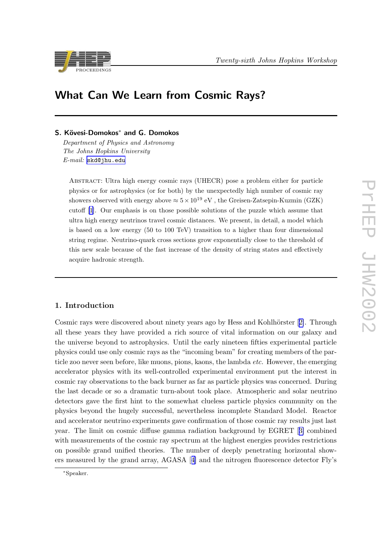



# What Can We Learn from Cosmic Rays?

# S. Kövesi-Domokos<sup>∗</sup> and G. Domokos

Department of Physics and Astronomy The Johns Hopkins University E-mail: [skd@jhu.edu](mailto:skd@jhu.edu)

Abstract: Ultra high energy cosmic rays (UHECR) pose a problem either for particle physics or for astrophysics (or for both) by the unexpectedly high number of cosmic ray showers observed with energy above  $\approx 5 \times 10^{19}$  eV, the Greisen-Zatsepin-Kuzmin (GZK) cutoff [[1](#page-7-0)]. Our emphasis is on those possible solutions of the puzzle which assume that ultra high energy neutrinos travel cosmic distances. We present, in detail, a model which is based on a low energy (50 to 100 TeV) transition to a higher than four dimensional string regime. Neutrino-quark cross sections grow exponentially close to the threshold of this new scale because of the fast increase of the density of string states and effectively acquire hadronic strength.

## 1. Introduction

Cosmic rays were discovered about ninety years ago by Hess and Kohlhörster [[2\]](#page-7-0). Through all these years they have provided a rich source of vital information on our galaxy and the universe beyond to astrophysics. Until the early nineteen fifties experimental particle physics could use only cosmic rays as the "incoming beam" for creating members of the particle zoo never seen before, like muons, pions, kaons, the lambda *etc.* However, the emerging accelerator physics with its well-controlled experimental environment put the interest in cosmic ray observations to the back burner as far as particle physics was concerned. During the last decade or so a dramatic turn-about took place. Atmospheric and solar neutrino detectors gave the first hint to the somewhat clueless particle physics community on the physics beyond the hugely successful, nevertheless incomplete Standard Model. Reactor and accelerator neutrino experiments gave confirmation of those cosmic ray results just last year. The limit on cosmic diffuse gamma radiation background by EGRET [[3\]](#page-7-0) combined with measurements of the cosmic ray spectrum at the highest energies provides restrictions on possible grand unified theories. The number of deeply penetrating horizontal showers measured by the grand array, AGASA [[4\]](#page-7-0) and the nitrogen fluorescence detector Fly's

<sup>∗</sup>Speaker.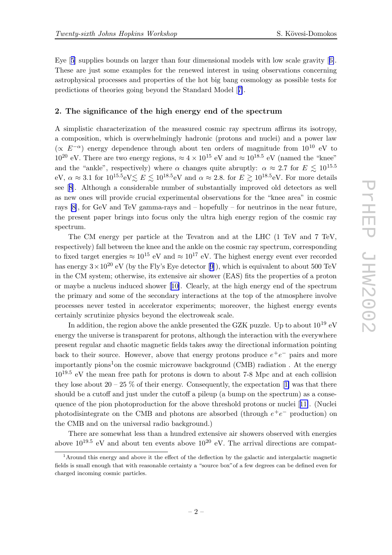Eye [[5](#page-7-0)] supplies bounds on larger than four dimensional models with low scale gravity [[6\]](#page-7-0). These are just some examples for the renewed interest in using observations concerning astrophysical processes and properties of the hot big bang cosmology as possible tests for predictions of theories going beyond the Standard Model [[7\]](#page-7-0).

## 2. The significance of the high energy end of the spectrum

A simplistic characterization of the measured cosmic ray spectrum affirms its isotropy, a composition, which is overwhelmingly hadronic (protons and nuclei) and a power law ( $\propto E^{-\alpha}$ ) energy dependence through about ten orders of magnitude from 10<sup>10</sup> eV to  $10^{20}$  eV. There are two energy regions,  $\approx 4 \times 10^{15}$  eV and  $\approx 10^{18.5}$  eV (named the "knee" and the "ankle", respectively) where  $\alpha$  changes quite abruptly:  $\alpha \approx 2.7$  for  $E \lesssim 10^{15.5}$ eV,  $\alpha \approx 3.1$  for  $10^{15.5}$ eV $\lesssim E \lesssim 10^{18.5}$ eV and  $\alpha \approx 2.8$ . for  $E \gtrsim 10^{18.5}$ eV. For more details see [[8](#page-7-0)]. Although a considerable number of substantially improved old detectors as well as new ones will provide crucial experimental observations for the "knee area" in cosmic rays  $[8]$ , for GeV and TeV gamma-rays and  $-$  hopefully  $-$  for neutrinos in the near future, the present paper brings into focus only the ultra high energy region of the cosmic ray spectrum.

The CM energy per particle at the Tevatron and at the LHC (1 TeV and 7 TeV, respectively) fall between the knee and the ankle on the cosmic ray spectrum, corresponding to fixed target energies  $\approx 10^{15}$  eV and  $\approx 10^{17}$  eV. The highest energy event ever recorded has energy  $3 \times 10^{20}$  eV (by the Fly's Eye detector [[9](#page-7-0)]), which is equivalent to about 500 TeV in the CM system; otherwise, its extensive air shower (EAS) fits the properties of a proton or maybe a nucleus induced shower [[10\]](#page-7-0). Clearly, at the high energy end of the spectrum the primary and some of the secondary interactions at the top of the atmosphere involve processes never tested in accelerator experiments; moreover, the highest energy events certainly scrutinize physics beyond the electroweak scale.

In addition, the region above the ankle presented the GZK puzzle. Up to about  $10^{19}$  eV energy the universe is transparent for protons, although the interaction with the everywhere present regular and chaotic magnetic fields takes away the directional information pointing back to their source. However, above that energy protons produce  $e^+e^-$  pairs and more importantly pions<sup>1</sup>on the cosmic microwave background (CMB) radiation. At the energy 1019.<sup>5</sup> eV the mean free path for protons is down to about 7-8 Mpc and at each collision they lose about  $20 - 25$  % of their energy. Consequently, the expectation [[1\]](#page-7-0) was that there should be a cutoff and just under the cutoff a pileup (a bump on the spectrum) as a consequence of the pion photoproduction for the above threshold protons or nuclei [[11\]](#page-7-0). (Nuclei photodisintegrate on the CMB and photons are absorbed (through  $e^+e^-$  production) on the CMB and on the universal radio background.)

There are somewhat less than a hundred extensive air showers observed with energies above  $10^{19.5}$  eV and about ten events above  $10^{20}$  eV. The arrival directions are compat-

<sup>1</sup>Around this energy and above it the effect of the deflection by the galactic and intergalactic magnetic fields is small enough that with reasonable certainty a "source box"of a few degrees can be defined even for charged incoming cosmic particles.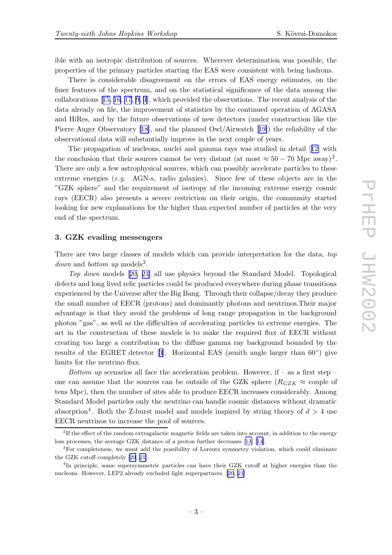ible with an isotropic distribution of sources. Wherever determination was possible, the properties of the primary particles starting the EAS were consistent with being hadrons.

There is considerable disagreement on the errors of EAS energy estimates, on the finer features of the spectrum, and on the statistical significance of the data among the collaborations [[15,](#page-7-0) [16](#page-7-0), [17](#page-7-0), [9,](#page-7-0) [4\]](#page-7-0), which provided the observations. The recent analysis of the data already on file, the improvement of statistics by the continued operation of AGASA and HiRes, and by the future observations of new detectors (under construction like the Pierre Auger Observatory [[18\]](#page-7-0), and the planned Owl/Airwatch [[19\]](#page-7-0)) the reliability of the observational data will substantially improve in the next couple of years.

The propagation of nucleons, nuclei and gamma rays was studied in detail [[12\]](#page-7-0) with the conclusion that their sources cannot be very distant (at most  $\approx 50 - 70$  Mpc away)<sup>2</sup>. There are only a few astrophysical sources, which can possibly accelerate particles to these extreme energies  $(e.g. \text{ AGN-s}, \text{radio galaxies})$ . Since few of these objects are in the "GZK sphere" and the requirement of isotropy of the incoming extreme energy cosmic rays (EECR) also presents a severe restriction on their origin, the community started looking for new explanations for the higher than expected number of particles at the very end of the spectrum.

#### 3. GZK evading messengers

There are two large classes of models which can provide interpretation for the data, top  $down$  and  $bottom$  up models<sup>3</sup>.

Top down models [[20,](#page-7-0) [21](#page-7-0)] all use physics beyond the Standard Model. Topological defects and long lived relic particles could be produced everywhere during phase transitions experienced by the Universe after the Big Bang. Through their collapse/decay they produce the small number of EECR (protons) and dominantly photons and neutrinos.Their major advantage is that they avoid the problems of long range propagation in the background photon "gas", as well as the difficulties of accelerating particles to extreme energies. The art in the construction of these models is to make the required flux of EECR without creating too large a contribution to the diffuse gamma ray background bounded by the results of the EGRET detector [[3](#page-7-0)]. Horizontal EAS (zenith angle larger than 60◦ ) give limits for the neutrino flux.

*Bottom up* scenarios all face the acceleration problem. However, if – as a first step – one can assume that the sources can be outside of the GZK sphere  $(R_{GZK} \approx$  couple of tens Mpc), then the number of sites able to produce EECR increases considerably. Among Standard Model particles only the neutrino can handle cosmic distances without dramatic absorption<sup>4</sup>. Both the Z-burst model and models inspired by string theory of  $d > 4$  use EECR neutrinos to increase the pool of sources.

<sup>&</sup>lt;sup>2</sup>If the effect of the random extragalactic magnetic fields are taken into account, in addition to the energy loss processes, the average GZK distance of a proton further decreases [[13\]](#page-7-0) [[14](#page-7-0)].

<sup>&</sup>lt;sup>3</sup>For completeness, we must add the possibility of Lorentz symmetry violation, which could eliminate the GZK cutoff completely [[20](#page-7-0), [21](#page-7-0)].

<sup>&</sup>lt;sup>4</sup>In principle, some supersymmetric particles can have their GZK cutoff at higher energies than the nucleons. However, LEP2 already excluded light superpartners. [[20](#page-7-0), [21\]](#page-7-0)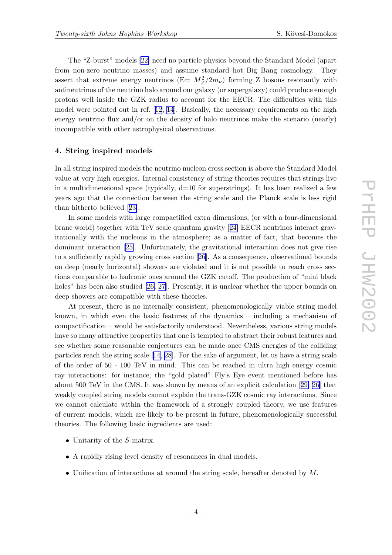The "Z-burst" models [[22\]](#page-7-0) need no particle physics beyond the Standard Model (apart from non-zero neutrino masses) and assume standard hot Big Bang cosmology. They assert that extreme energy neutrinos  $(E = M_Z^2/2m_\nu)$  forming Z bosons resonantly with antineutrinos of the neutrino halo around our galaxy (or supergalaxy) could produce enough protons well inside the GZK radius to account for the EECR. The difficulties with this model were pointed out in ref. [[12](#page-7-0), [14](#page-7-0)]. Basically, the necessary requirements on the high energy neutrino flux and/or on the density of halo neutrinos make the scenario (nearly) incompatible with other astrophysical observations.

## 4. String inspired models

In all string inspired models the neutrino nucleon cross section is above the Standard Model value at very high energies. Internal consistency of string theories requires that strings live in a multidimensional space (typically,  $d=10$  for superstrings). It has been realized a few years ago that the connection between the string scale and the Planck scale is less rigid than hitherto believed [[23\]](#page-7-0).

In some models with large compactified extra dimensions, (or with a four-dimensional brane world) together with TeV scale quantum gravity [[24\]](#page-8-0) EECR neutrinos interact gravitationally with the nucleons in the atmosphere; as a matter of fact, that becomes the dominant interaction [[25\]](#page-8-0). Unfortunately, the gravitational interaction does not give rise to a sufficiently rapidly growing cross section [[26\]](#page-8-0). As a consequence, observational bounds on deep (nearly horizontal) showers are violated and it is not possible to reach cross sections comparable to hadronic ones around the GZK cutoff. The production of "mini black holes" has been also studied [[26,](#page-8-0) [27](#page-8-0)]. Presently, it is unclear whether the upper bounds on deep showers are compatible with these theories.

At present, there is no internally consistent, phenomenologically viable string model known, in which even the basic features of the dynamics – including a mechanism of compactification – would be satisfactorily understood. Nevertheless, various string models have so many attractive properties that one is tempted to abstract their robust features and see whether some reasonable conjectures can be made once CMS energies of the colliding particles reach the string scale [[14,](#page-7-0) [28\]](#page-8-0). For the sake of argument, let us have a string scale of the order of 50 - 100 TeV in mind. This can be reached in ultra high energy cosmic ray interactions: for instance, the "gold plated" Fly's Eye event mentioned before has about 500 TeV in the CMS. It was shown by means of an explicit calculation [[29,](#page-8-0) [26\]](#page-8-0) that weakly coupled string models cannot explain the trans-GZK cosmic ray interactions. Since we cannot calculate within the framework of a strongly coupled theory, we use features of current models, which are likely to be present in future, phenomenologically successful theories. The following basic ingredients are used:

- Unitarity of the S-matrix.
- A rapidly rising level density of resonances in dual models.
- Unification of interactions at around the string scale, hereafter denoted by M.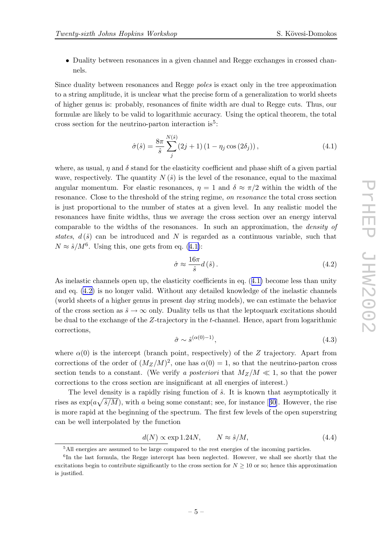<span id="page-4-0"></span>• Duality between resonances in a given channel and Regge exchanges in crossed channels.

Since duality between resonances and Regge poles is exact only in the tree approximation to a string amplitude, it is unclear what the precise form of a generalization to world sheets of higher genus is: probably, resonances of finite width are dual to Regge cuts. Thus, our formulæ are likely to be valid to logarithmic accuracy. Using the optical theorem, the total cross section for the neutrino-parton interaction is<sup>5</sup>:

$$
\hat{\sigma}(\hat{s}) = \frac{8\pi}{\hat{s}} \sum_{j}^{N(\hat{s})} (2j+1) (1 - \eta_j \cos(2\delta_j)), \qquad (4.1)
$$

where, as usual,  $\eta$  and  $\delta$  stand for the elasticity coefficient and phase shift of a given partial wave, respectively. The quantity  $N(\hat{s})$  is the level of the resonance, equal to the maximal angular momentum. For elastic resonances,  $\eta = 1$  and  $\delta \approx \pi/2$  within the width of the resonance. Close to the threshold of the string regime, on resonance the total cross section is just proportional to the number of states at a given level. In any realistic model the resonances have finite widths, thus we average the cross section over an energy interval comparable to the widths of the resonances. In such an approximation, the density of states,  $d(\hat{s})$  can be introduced and N is regarded as a continuous variable, such that  $N \approx \hat{s}/M^6$ . Using this, one gets from eq. (4.1):

$$
\hat{\sigma} \approx \frac{16\pi}{\hat{s}} d\left(\hat{s}\right). \tag{4.2}
$$

As inelastic channels open up, the elasticity coefficients in eq. (4.1) become less than unity and eq. (4.2) is no longer valid. Without any detailed knowledge of the inelastic channels (world sheets of a higher genus in present day string models), we can estimate the behavior of the cross section as  $\hat{s} \to \infty$  only. Duality tells us that the leptoquark excitations should be dual to the exchange of the Z-trajectory in the t-channel. Hence, apart from logarithmic corrections,

$$
\hat{\sigma} \sim \hat{s}^{(\alpha(0)-1)},\tag{4.3}
$$

where  $\alpha(0)$  is the intercept (branch point, respectively) of the Z trajectory. Apart from corrections of the order of  $(M_Z/M)^2$ , one has  $\alpha(0) = 1$ , so that the neutrino-parton cross section tends to a constant. (We verify a posteriori that  $M_Z/M \ll 1$ , so that the power corrections to the cross section are insignificant at all energies of interest.)

The level density is a rapidly rising function of  $\hat{s}$ . It is known that asymptotically it rises as  $\exp(a\sqrt{\hat{s}/M})$ , with a being some constant; see, for instance [[30](#page-8-0)]. However, the rise is more rapid at the beginning of the spectrum. The first few levels of the open superstring can be well interpolated by the function

$$
d(N) \propto \exp 1.24N, \qquad N \approx \hat{s}/M,\tag{4.4}
$$

 $<sup>5</sup>$ All energies are assumed to be large compared to the rest energies of the incoming particles.</sup>

<sup>&</sup>lt;sup>6</sup>In the last formula, the Regge intercept has been neglected. However, we shall see shortly that the excitations begin to contribute significantly to the cross section for  $N \geq 10$  or so; hence this approximation is justified.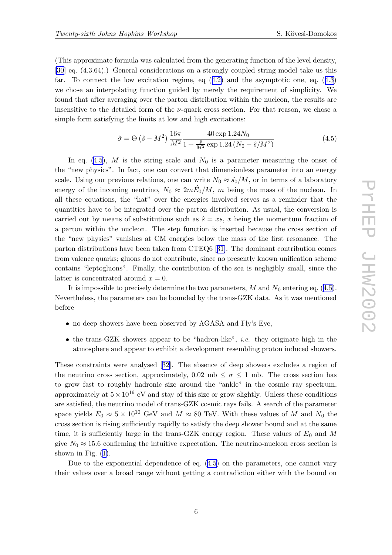<span id="page-5-0"></span>(This approximate formula was calculated from the generating function of the level density, [\[30](#page-8-0)] eq. (4.3.64).) General considerations on a strongly coupled string model take us this far. To connect the low excitation regime, eq ([4.2\)](#page-4-0) and the asymptotic one, eq. ([4.3\)](#page-4-0) we chose an interpolating function guided by merely the requirement of simplicity. We found that after averaging over the parton distribution within the nucleon, the results are insensitive to the detailed form of the  $\nu$ -quark cross section. For that reason, we chose a simple form satisfying the limits at low and high excitations:

$$
\hat{\sigma} = \Theta\left(\hat{s} - M^2\right) \frac{16\pi}{M^2} \frac{40 \exp 1.24N_0}{1 + \frac{\hat{s}}{M^2} \exp 1.24\left(N_0 - \hat{s}/M^2\right)}\tag{4.5}
$$

In eq. (4.5), M is the string scale and  $N_0$  is a parameter measuring the onset of the "new physics". In fact, one can convert that dimensionless parameter into an energy scale. Using our previous relations, one can write  $N_0 \approx \hat{s}_0/M$ , or in terms of a laboratory energy of the incoming neutrino,  $N_0 \approx 2m\hat{E_0}/M$ , m being the mass of the nucleon. In all these equations, the "hat" over the energies involved serves as a reminder that the quantities have to be integrated over the parton distribution. As usual, the conversion is carried out by means of substitutions such as  $\hat{s} = xs, x$  being the momentum fraction of a parton within the nucleon. The step function is inserted because the cross section of the "new physics" vanishes at CM energies below the mass of the first resonance. The parton distributions have been taken from CTEQ6 [[31\]](#page-8-0). The dominant contribution comes from valence quarks; gluons do not contribute, since no presently known unification scheme contains "leptogluons". Finally, the contribution of the sea is negligibly small, since the latter is concentrated around  $x = 0$ .

It is impossible to precisely determine the two parameters,  $M$  and  $N_0$  entering eq. (4.5). Nevertheless, the parameters can be bounded by the trans-GZK data. As it was mentioned before

- no deep showers have been observed by AGASA and Fly's Eye,
- the trans-GZK showers appear to be "hadron-like", i.e. they originate high in the atmosphere and appear to exhibit a development resembling proton induced showers.

These constraints were analysed [[32](#page-8-0)]. The absence of deep showers excludes a region of the neutrino cross section, approximately, 0.02 mb  $\leq \sigma \leq 1$  mb. The cross section has to grow fast to roughly hadronic size around the "ankle" in the cosmic ray spectrum, approximately at  $5 \times 10^{19}$  eV and stay of this size or grow slightly. Unless these conditions are satisfied, the neutrino model of trans-GZK cosmic rays fails. A search of the parameter space yields  $E_0 \approx 5 \times 10^{10}$  GeV and  $M \approx 80$  TeV. With these values of M and  $N_0$  the cross section is rising sufficiently rapidly to satisfy the deep shower bound and at the same time, it is sufficiently large in the trans-GZK energy region. These values of  $E_0$  and M give  $N_0 \approx 15.6$  confirming the intuitive expectation. The neutrino-nucleon cross section is shown in Fig.  $(1)$  $(1)$ .

Due to the exponential dependence of eq. (4.5) on the parameters, one cannot vary their values over a broad range without getting a contradiction either with the bound on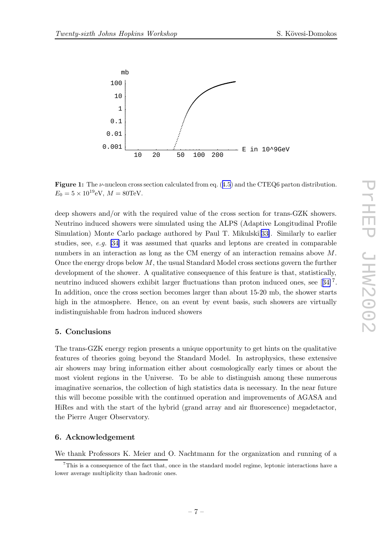<span id="page-6-0"></span>

**Figure 1:** The  $\nu$ -nucleon cross section calculated from eq.  $(4.5)$  $(4.5)$  $(4.5)$  and the CTEQ6 parton distribution.  $E_0 = 5 \times 10^{19} \text{eV}, M = 80 \text{TeV}.$ 

deep showers and/or with the required value of the cross section for trans-GZK showers. Neutrino induced showers were simulated using the ALPS (Adaptive Longitudinal Profile Simulation) Monte Carlo package authored by Paul T. Mikulski[[33\]](#page-8-0). Similarly to earlier studies, see,  $e.g.$  [\[34](#page-8-0)] it was assumed that quarks and leptons are created in comparable numbers in an interaction as long as the CM energy of an interaction remains above M. Once the energy drops below  $M$ , the usual Standard Model cross sections govern the further development of the shower. A qualitative consequence of this feature is that, statistically, neutrino induced showers exhibit larger fluctuations than proton induced ones, see [[34\]](#page-8-0)<sup>7</sup>. In addition, once the cross section becomes larger than about 15-20 mb, the shower starts high in the atmosphere. Hence, on an event by event basis, such showers are virtually indistinguishable from hadron induced showers

## 5. Conclusions

The trans-GZK energy region presents a unique opportunity to get hints on the qualitative features of theories going beyond the Standard Model. In astrophysics, these extensive air showers may bring information either about cosmologically early times or about the most violent regions in the Universe. To be able to distinguish among these numerous imaginative scenarios, the collection of high statistics data is necessary. In the near future this will become possible with the continued operation and improvements of AGASA and HiRes and with the start of the hybrid (grand array and air fluorescence) megadetactor, the Pierre Auger Observatory.

## 6. Acknowledgement

We thank Professors K. Meier and O. Nachtmann for the organization and running of a

 $7$ This is a consequence of the fact that, once in the standard model regime, leptonic interactions have a lower average multiplicity than hadronic ones.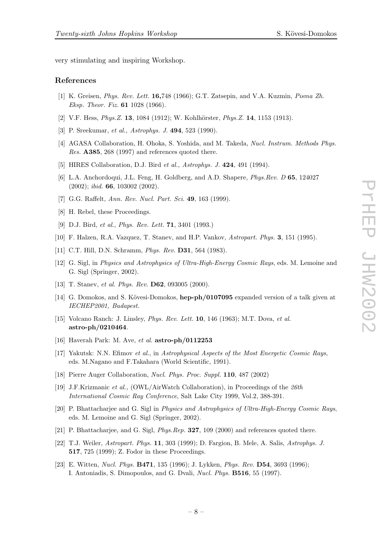<span id="page-7-0"></span>very stimulating and inspiring Workshop.

#### References

- [1] K. Greisen, Phys. Rev. Lett. 16,748 (1966); G.T. Zatsepin, and V.A. Kuzmin, Pisma Zh. Eksp. Theor. Fiz. 61 1028 (1966).
- [2] V.F. Hess,  $Phys. Z. 13$ , 1084 (1912); W. Kohlhörster,  $Phys. Z. 14$ , 1153 (1913).
- [3] P. Sreekumar, et al., Astrophys. J. 494, 523 (1990).
- [4] AGASA Collaboration, H. Ohoka, S. Yoshida, and M. Takeda, Nucl. Instrum. Methods Phys. Res. A385, 268 (1997) and references quoted there.
- [5] HIRES Collaboration, D.J. Bird et al., Astrophys. J. 424, 491 (1994).
- [6] L.A. Anchordoqui, J.L. Feng, H. Goldberg, and A.D. Shapere, Phys.Rev. D 65, 124027 (2002); ibid. 66, 103002 (2002).
- [7] G.G. Raffelt, Ann. Rev. Nucl. Part. Sci. 49, 163 (1999).
- [8] H. Rebel, these Proceedings.
- [9] D.J. Bird, et al., Phys. Rev. Lett. 71, 3401 (1993.)
- [10] F. Halzen, R.A. Vazquez, T. Stanev, and H.P. Vankov, Astropart. Phys. 3, 151 (1995).
- [11] C.T. Hill, D.N. Schramm, *Phys. Rev.* **D31**, 564 (1983).
- [12] G. Sigl, in Physics and Astrophysics of Ultra-High-Energy Cosmic Rays, eds. M. Lemoine and G. Sigl (Springer, 2002).
- [13] T. Stanev, et al. Phys. Rev. **D62**, 093005 (2000).
- [14] G. Domokos, and S. Kövesi-Domokos, hep-ph/0107095 expanded version of a talk given at IECHEP2001, Budapest.
- [15] Volcano Ranch: J. Linsley, *Phys. Rev. Lett.* **10**, 146 (1963); M.T. Dova, et al. astro-ph/0210464.
- [16] Haverah Park: M. Ave, et al.  $\textbf{astro-ph}/0112253$
- [17] Yakutsk: N.N. Efimov et al., in Astrophysical Aspects of the Most Energetic Cosmic Rays, eds. M.Nagano and F.Takahara (World Scientific, 1991).
- [18] Pierre Auger Collaboration, Nucl. Phys. Proc. Suppl. 110, 487 (2002)
- [19] J.F.Krizmanic et al., (OWL/AirWatch Collaboration), in Proceedings of the 26th International Cosmic Ray Conference, Salt Lake City 1999, Vol.2, 388-391.
- [20] P. Bhattacharjee and G. Sigl in Physics and Astrophysics of Ultra-High-Energy Cosmic Rays, eds. M. Lemoine and G. Sigl (Springer, 2002).
- [21] P. Bhattacharjee, and G. Sigl, Phys.Rep. 327, 109 (2000) and references quoted there.
- [22] T.J. Weiler, Astropart. Phys. 11, 303 (1999); D. Fargion, B. Mele, A. Salis, Astrophys. J. 517, 725 (1999); Z. Fodor in these Proceedings.
- [23] E. Witten, Nucl. Phys. B471, 135 (1996); J. Lykken, Phys. Rev. D54, 3693 (1996); I. Antoniadis, S. Dimopoulos, and G. Dvali, Nucl. Phys. B516, 55 (1997).